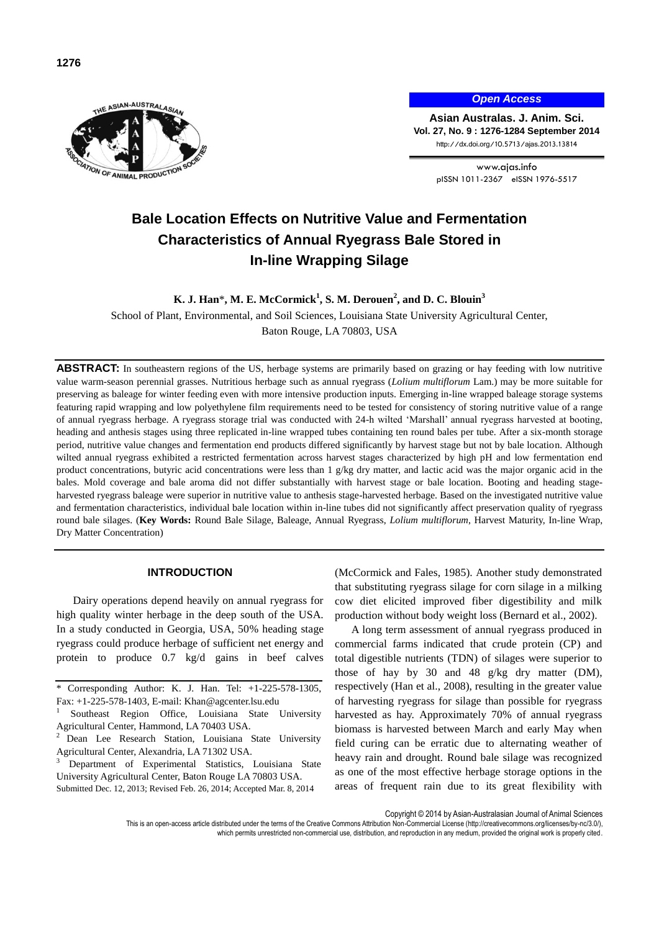

*Open Access*

**Asian Australas. J. Anim. Sci. Vol. 27, No. 9 : 1276-1284 September 2014** http://dx.doi.org/10.5713/ajas.2013.13814

> www.ajas.info pISSN 1011-2367 eISSN 1976-5517

# **Bale Location Effects on Nutritive Value and Fermentation Characteristics of Annual Ryegrass Bale Stored in In-line Wrapping Silage**

**K. J. Han**\***, M. E. McCormick<sup>1</sup> , S. M. Derouen<sup>2</sup> , and D. C. Blouin<sup>3</sup>**

School of Plant, Environmental, and Soil Sciences, Louisiana State University Agricultural Center, Baton Rouge, LA 70803, USA

**ABSTRACT:** In southeastern regions of the US, herbage systems are primarily based on grazing or hay feeding with low nutritive value warm-season perennial grasses. Nutritious herbage such as annual ryegrass (*Lolium multiflorum* Lam.) may be more suitable for preserving as baleage for winter feeding even with more intensive production inputs. Emerging in-line wrapped baleage storage systems featuring rapid wrapping and low polyethylene film requirements need to be tested for consistency of storing nutritive value of a range of annual ryegrass herbage. A ryegrass storage trial was conducted with 24-h wilted 'Marshall' annual ryegrass harvested at booting, heading and anthesis stages using three replicated in-line wrapped tubes containing ten round bales per tube. After a six-month storage period, nutritive value changes and fermentation end products differed significantly by harvest stage but not by bale location. Although wilted annual ryegrass exhibited a restricted fermentation across harvest stages characterized by high pH and low fermentation end product concentrations, butyric acid concentrations were less than 1 g/kg dry matter, and lactic acid was the major organic acid in the bales. Mold coverage and bale aroma did not differ substantially with harvest stage or bale location. Booting and heading stageharvested ryegrass baleage were superior in nutritive value to anthesis stage-harvested herbage. Based on the investigated nutritive value and fermentation characteristics, individual bale location within in-line tubes did not significantly affect preservation quality of ryegrass round bale silages. (**Key Words:** Round Bale Silage, Baleage, Annual Ryegrass, *Lolium multiflorum*, Harvest Maturity, In-line Wrap, Dry Matter Concentration)

## **INTRODUCTION**

Dairy operations depend heavily on annual ryegrass for high quality winter herbage in the deep south of the USA. In a study conducted in Georgia, USA, 50% heading stage ryegrass could produce herbage of sufficient net energy and protein to produce 0.7 kg/d gains in beef calves

Department of Experimental Statistics, Louisiana State University Agricultural Center, Baton Rouge LA 70803 USA. Submitted Dec. 12, 2013; Revised Feb. 26, 2014; Accepted Mar. 8, 2014

(McCormick and Fales, 1985). Another study demonstrated that substituting ryegrass silage for corn silage in a milking cow diet elicited improved fiber digestibility and milk production without body weight loss (Bernard et al., 2002).

A long term assessment of annual ryegrass produced in commercial farms indicated that crude protein (CP) and total digestible nutrients (TDN) of silages were superior to those of hay by 30 and 48 g/kg dry matter (DM), respectively (Han et al., 2008), resulting in the greater value of harvesting ryegrass for silage than possible for ryegrass harvested as hay. Approximately 70% of annual ryegrass biomass is harvested between March and early May when field curing can be erratic due to alternating weather of heavy rain and drought. Round bale silage was recognized as one of the most effective herbage storage options in the areas of frequent rain due to its great flexibility with

Copyright © 2014 by Asian-Australasian Journal of Animal Sciences

This is an open-access article distributed under the terms of the Creative Commons Attribution Non-Commercial License [\(http://creativecommons.org/licenses/by-nc/3.0/\),](http://creativecommons.org/licenses/by-nc/3.0/) which permits unrestricted non-commercial use, distribution, and reproduction in any medium, provided the original work is properly cited

Corresponding Author: K. J. Han. Tel: +1-225-578-1305, Fax: +1-225-578-1403, E-mail: Khan@agcenter.lsu.edu

<sup>1</sup> Southeast Region Office, Louisiana State University Agricultural Center, Hammond, LA 70403 USA.

Dean Lee Research Station, Louisiana State University Agricultural Center, Alexandria, LA 71302 USA.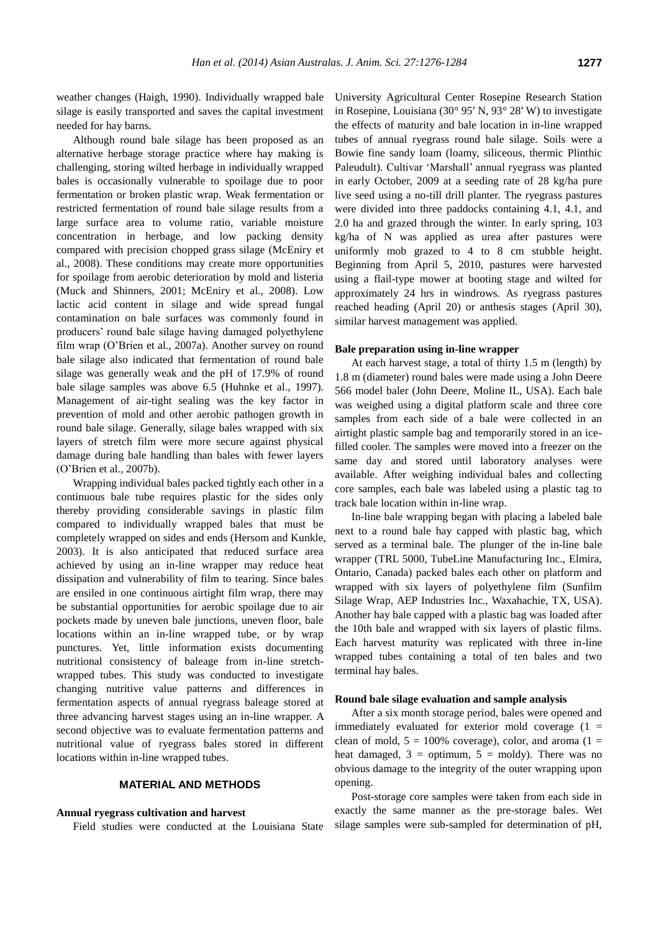weather changes (Haigh, 1990). Individually wrapped bale silage is easily transported and saves the capital investment needed for hay barns.

Although round bale silage has been proposed as an alternative herbage storage practice where hay making is challenging, storing wilted herbage in individually wrapped bales is occasionally vulnerable to spoilage due to poor fermentation or broken plastic wrap. Weak fermentation or restricted fermentation of round bale silage results from a large surface area to volume ratio, variable moisture concentration in herbage, and low packing density compared with precision chopped grass silage (McEniry et al., 2008). These conditions may create more opportunities for spoilage from aerobic deterioration by mold and listeria (Muck and Shinners, 2001; McEniry et al., 2008). Low lactic acid content in silage and wide spread fungal contamination on bale surfaces was commonly found in producers' round bale silage having damaged polyethylene film wrap (O'Brien et al., 2007a). Another survey on round bale silage also indicated that fermentation of round bale silage was generally weak and the pH of 17.9% of round bale silage samples was above 6.5 (Huhnke et al., 1997). Management of air-tight sealing was the key factor in prevention of mold and other aerobic pathogen growth in round bale silage. Generally, silage bales wrapped with six layers of stretch film were more secure against physical damage during bale handling than bales with fewer layers (O'Brien et al., 2007b).

Wrapping individual bales packed tightly each other in a continuous bale tube requires plastic for the sides only thereby providing considerable savings in plastic film compared to individually wrapped bales that must be completely wrapped on sides and ends (Hersom and Kunkle, 2003). It is also anticipated that reduced surface area achieved by using an in-line wrapper may reduce heat dissipation and vulnerability of film to tearing. Since bales are ensiled in one continuous airtight film wrap, there may be substantial opportunities for aerobic spoilage due to air pockets made by uneven bale junctions, uneven floor, bale locations within an in-line wrapped tube, or by wrap punctures. Yet, little information exists documenting nutritional consistency of baleage from in-line stretchwrapped tubes. This study was conducted to investigate changing nutritive value patterns and differences in fermentation aspects of annual ryegrass baleage stored at three advancing harvest stages using an in-line wrapper. A second objective was to evaluate fermentation patterns and nutritional value of ryegrass bales stored in different locations within in-line wrapped tubes.

## **MATERIAL AND METHODS**

#### **Annual ryegrass cultivation and harvest**

Field studies were conducted at the Louisiana State

University Agricultural Center Rosepine Research Station in Rosepine, Louisiana (30° 95′ N, 93° 28′ W) to investigate the effects of maturity and bale location in in-line wrapped tubes of annual ryegrass round bale silage. Soils were a Bowie fine sandy loam (loamy, siliceous, thermic Plinthic Paleudult). Cultivar 'Marshall' annual ryegrass was planted in early October, 2009 at a seeding rate of 28 kg/ha pure live seed using a no-till drill planter. The ryegrass pastures were divided into three paddocks containing 4.1, 4.1, and 2.0 ha and grazed through the winter. In early spring, 103 kg/ha of N was applied as urea after pastures were uniformly mob grazed to 4 to 8 cm stubble height. Beginning from April 5, 2010, pastures were harvested using a flail-type mower at booting stage and wilted for approximately 24 hrs in windrows. As ryegrass pastures reached heading (April 20) or anthesis stages (April 30), similar harvest management was applied.

### **Bale preparation using in-line wrapper**

At each harvest stage, a total of thirty 1.5 m (length) by 1.8 m (diameter) round bales were made using a John Deere 566 model baler (John Deere, Moline IL, USA). Each bale was weighed using a digital platform scale and three core samples from each side of a bale were collected in an airtight plastic sample bag and temporarily stored in an icefilled cooler. The samples were moved into a freezer on the same day and stored until laboratory analyses were available. After weighing individual bales and collecting core samples, each bale was labeled using a plastic tag to track bale location within in-line wrap.

In-line bale wrapping began with placing a labeled bale next to a round bale hay capped with plastic bag, which served as a terminal bale. The plunger of the in-line bale wrapper (TRL 5000, TubeLine Manufacturing Inc., Elmira, Ontario, Canada) packed bales each other on platform and wrapped with six layers of polyethylene film (Sunfilm Silage Wrap, AEP Industries Inc., Waxahachie, TX, USA). Another hay bale capped with a plastic bag was loaded after the 10th bale and wrapped with six layers of plastic films. Each harvest maturity was replicated with three in-line wrapped tubes containing a total of ten bales and two terminal hay bales.

# **Round bale silage evaluation and sample analysis**

After a six month storage period, bales were opened and immediately evaluated for exterior mold coverage  $(1 =$ clean of mold,  $5 = 100\%$  coverage), color, and aroma (1 = heat damaged,  $3 =$  optimum,  $5 =$  moldy). There was no obvious damage to the integrity of the outer wrapping upon opening.

Post-storage core samples were taken from each side in exactly the same manner as the pre-storage bales. Wet silage samples were sub-sampled for determination of pH,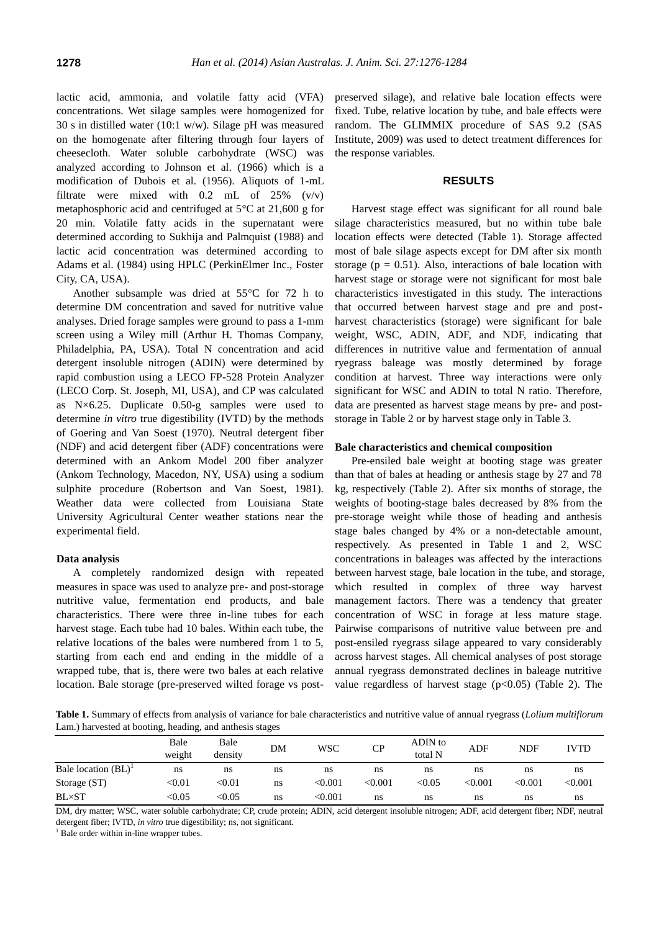lactic acid, ammonia, and volatile fatty acid (VFA) concentrations. Wet silage samples were homogenized for 30 s in distilled water (10:1 w/w). Silage pH was measured on the homogenate after filtering through four layers of cheesecloth. Water soluble carbohydrate (WSC) was analyzed according to Johnson et al. (1966) which is a modification of Dubois et al. (1956). Aliquots of 1-mL filtrate were mixed with  $0.2$  mL of  $25\%$  (v/v) metaphosphoric acid and centrifuged at 5°C at 21,600 g for 20 min. Volatile fatty acids in the supernatant were determined according to Sukhija and Palmquist (1988) and lactic acid concentration was determined according to Adams et al. (1984) using HPLC (PerkinElmer Inc., Foster City, CA, USA).

Another subsample was dried at 55°C for 72 h to determine DM concentration and saved for nutritive value analyses. Dried forage samples were ground to pass a 1-mm screen using a Wiley mill (Arthur H. Thomas Company, Philadelphia, PA, USA). Total N concentration and acid detergent insoluble nitrogen (ADIN) were determined by rapid combustion using a LECO FP-528 Protein Analyzer (LECO Corp. St. Joseph, MI, USA), and CP was calculated as N×6.25. Duplicate 0.50-g samples were used to determine *in vitro* true digestibility (IVTD) by the methods of Goering and Van Soest (1970). Neutral detergent fiber (NDF) and acid detergent fiber (ADF) concentrations were determined with an Ankom Model 200 fiber analyzer (Ankom Technology, Macedon, NY, USA) using a sodium sulphite procedure (Robertson and Van Soest, 1981). Weather data were collected from Louisiana State University Agricultural Center weather stations near the experimental field.

# **Data analysis**

A completely randomized design with repeated measures in space was used to analyze pre- and post-storage nutritive value, fermentation end products, and bale characteristics. There were three in-line tubes for each harvest stage. Each tube had 10 bales. Within each tube, the relative locations of the bales were numbered from 1 to 5, starting from each end and ending in the middle of a wrapped tube, that is, there were two bales at each relative location. Bale storage (pre-preserved wilted forage vs postpreserved silage), and relative bale location effects were fixed. Tube, relative location by tube, and bale effects were random. The GLIMMIX procedure of SAS 9.2 (SAS Institute, 2009) was used to detect treatment differences for the response variables.

# **RESULTS**

Harvest stage effect was significant for all round bale silage characteristics measured, but no within tube bale location effects were detected (Table 1). Storage affected most of bale silage aspects except for DM after six month storage ( $p = 0.51$ ). Also, interactions of bale location with harvest stage or storage were not significant for most bale characteristics investigated in this study. The interactions that occurred between harvest stage and pre and postharvest characteristics (storage) were significant for bale weight, WSC, ADIN, ADF, and NDF, indicating that differences in nutritive value and fermentation of annual ryegrass baleage was mostly determined by forage condition at harvest. Three way interactions were only significant for WSC and ADIN to total N ratio. Therefore, data are presented as harvest stage means by pre- and poststorage in Table 2 or by harvest stage only in Table 3.

# **Bale characteristics and chemical composition**

Pre-ensiled bale weight at booting stage was greater than that of bales at heading or anthesis stage by 27 and 78 kg, respectively (Table 2). After six months of storage, the weights of booting-stage bales decreased by 8% from the pre-storage weight while those of heading and anthesis stage bales changed by 4% or a non-detectable amount, respectively. As presented in Table 1 and 2, WSC concentrations in baleages was affected by the interactions between harvest stage, bale location in the tube, and storage, which resulted in complex of three way harvest management factors. There was a tendency that greater concentration of WSC in forage at less mature stage. Pairwise comparisons of nutritive value between pre and post-ensiled ryegrass silage appeared to vary considerably across harvest stages. All chemical analyses of post storage annual ryegrass demonstrated declines in baleage nutritive value regardless of harvest stage  $(p<0.05)$  (Table 2). The

**Table 1.** Summary of effects from analysis of variance for bale characteristics and nutritive value of annual ryegrass (*Lolium multiflorum* Lam.) harvested at booting, heading, and anthesis stages

|                        | Bale<br>weight          | Bale<br>densitv | DM | <b>WSC</b>     | CP      | ADIN to<br>total N | ADF     | NDF     | IVTD           |
|------------------------|-------------------------|-----------------|----|----------------|---------|--------------------|---------|---------|----------------|
| Bale location $(BL)^1$ | ns                      | ns              | ns | ns             | ns      | ns                 | ns      | ns      | ns             |
| Storage (ST)           | $< \hspace{-0.2em}0.01$ | < 0.01          | ns | < 0.001        | < 0.001 | $< \!\! 0.05$      | < 0.001 | < 0.001 | $<$ 0.001 $\,$ |
| <b>BL×ST</b>           | $<$ 0.05                | $<$ 0.05        | ns | $<$ 0.001 $\,$ | ns      | ns                 | ns      | ns      | ns             |

DM, dry matter; WSC, water soluble carbohydrate; CP, crude protein; ADIN, acid detergent insoluble nitrogen; ADF, acid detergent fiber; NDF, neutral detergent fiber; IVTD, *in vitro* true digestibility; ns, not significant.

<sup>1</sup> Bale order within in-line wrapper tubes.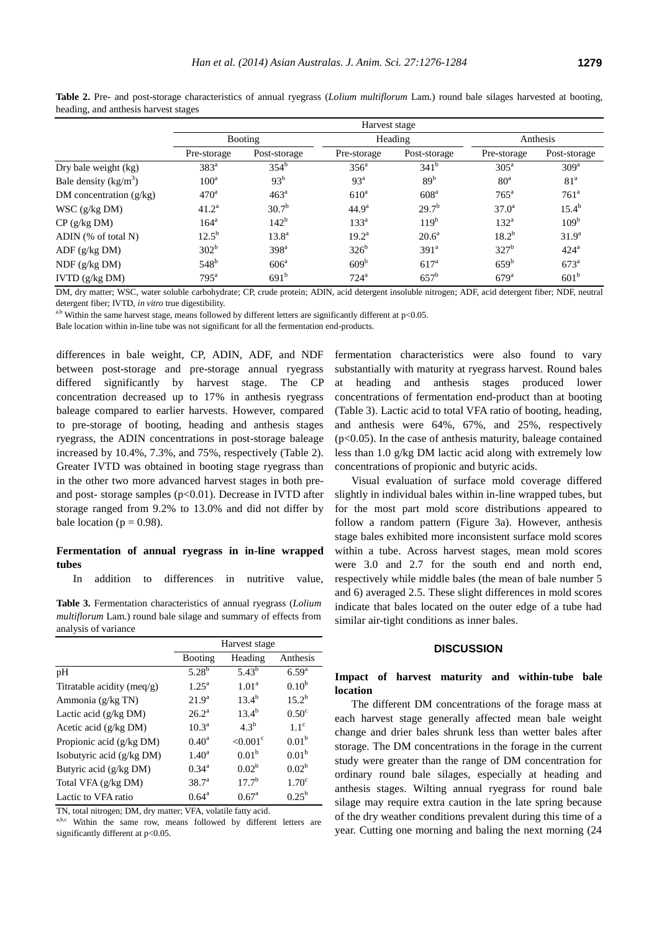|--|

|                           | Harvest stage      |                  |                   |                    |                    |                    |  |
|---------------------------|--------------------|------------------|-------------------|--------------------|--------------------|--------------------|--|
|                           | Booting            |                  |                   | Heading            | Anthesis           |                    |  |
|                           | Pre-storage        | Post-storage     | Pre-storage       | Post-storage       | Pre-storage        | Post-storage       |  |
| Dry bale weight (kg)      | $383^a$            | 354 <sup>b</sup> | 356 <sup>a</sup>  | $341^b$            | 305 <sup>a</sup>   | 309 <sup>a</sup>   |  |
| Bale density $(kg/m^3)$   | $100^a$            | 93 <sup>b</sup>  | 93 <sup>a</sup>   | 89 <sup>b</sup>    | 80 <sup>a</sup>    | 81 <sup>a</sup>    |  |
| DM concentration $(g/kg)$ | 470 <sup>a</sup>   | 463 <sup>a</sup> | $610^a$           | 608 <sup>a</sup>   | $765^{\mathrm{a}}$ | 761 <sup>a</sup>   |  |
| WSC (g/kg DM)             | $41.2^{\rm a}$     | $30.7^{b}$       | 44.9 <sup>a</sup> | $29.7^{b}$         | 37.0 <sup>a</sup>  | $15.4^{b}$         |  |
| $CP$ (g/kg DM)            | 164 <sup>a</sup>   | $142^b$          | 133 <sup>a</sup>  | 119 <sup>b</sup>   | $132^a$            | 109 <sup>b</sup>   |  |
| ADIN (% of total N)       | $12.5^{b}$         | $13.8^{\circ}$   | $19.2^a$          | $20.6^{\circ}$     | $18.2^{b}$         | 31.9 <sup>a</sup>  |  |
| ADF(g/kg DM)              | 302 <sup>b</sup>   | 398 <sup>a</sup> | $326^b$           | 391 <sup>a</sup>   | 327 <sup>b</sup>   | 424 <sup>a</sup>   |  |
| $NDF$ (g/kg $DM$ )        | $548^{\rm b}$      | 606 <sup>a</sup> | 609 <sup>b</sup>  | 617 <sup>a</sup>   | $659^{\rm b}$      | $673^{\mathrm{a}}$ |  |
| IVTD (g/kg DM)            | $795^{\mathrm{a}}$ | 691 <sup>b</sup> | 724 <sup>a</sup>  | $657^{\mathrm{b}}$ | $679$ <sup>a</sup> | 601 <sup>b</sup>   |  |

**Table 2.** Pre- and post-storage characteristics of annual ryegrass (*Lolium multiflorum* Lam.) round bale silages harvested at booting, heading, and anthesis harvest stages

DM, dry matter; WSC, water soluble carbohydrate; CP, crude protein; ADIN, acid detergent insoluble nitrogen; ADF, acid detergent fiber; NDF, neutral detergent fiber; IVTD, *in vitro* true digestibility.

<sup>a,b</sup> Within the same harvest stage, means followed by different letters are significantly different at  $p<0.05$ .

Bale location within in-line tube was not significant for all the fermentation end-products.

differences in bale weight, CP, ADIN, ADF, and NDF between post-storage and pre-storage annual ryegrass differed significantly by harvest stage. The CP concentration decreased up to 17% in anthesis ryegrass baleage compared to earlier harvests. However, compared to pre-storage of booting, heading and anthesis stages ryegrass, the ADIN concentrations in post-storage baleage increased by 10.4%, 7.3%, and 75%, respectively (Table 2). Greater IVTD was obtained in booting stage ryegrass than in the other two more advanced harvest stages in both preand post- storage samples (p<0.01). Decrease in IVTD after storage ranged from 9.2% to 13.0% and did not differ by bale location ( $p = 0.98$ ).

# **Fermentation of annual ryegrass in in-line wrapped tubes**

In addition to differences in nutritive value,

**Table 3.** Fermentation characteristics of annual ryegrass (*Lolium multiflorum* Lam.) round bale silage and summary of effects from analysis of variance

|                             | Harvest stage     |                        |                           |  |
|-----------------------------|-------------------|------------------------|---------------------------|--|
|                             | <b>Booting</b>    | Heading                | Anthesis                  |  |
| pH                          | $5.28^{b}$        | $5.43^{b}$             | 6.59 <sup>a</sup>         |  |
| Titratable acidity (meg/g)  | $1.25^{\rm a}$    | 1.01 <sup>a</sup>      | $0.10^{b}$                |  |
| Ammonia (g/kg TN)           | 21.9 <sup>a</sup> | $13.4^{b}$             | $15.2^{\rm b}$            |  |
| Lactic acid $(g/kg DM)$     | $26.2^a$          | $13.4^{b}$             | 0.50 <sup>c</sup>         |  |
| Acetic acid $(g/kg DM)$     | $10.3^{\rm a}$    | $4.3^b$                | $1 \text{ } 1^{\text{c}}$ |  |
| Propionic acid (g/kg DM)    | $0.40^{\rm a}$    | $< 0.001$ <sup>c</sup> | 0.01 <sup>b</sup>         |  |
| Isobutyric acid $(g/kg DM)$ | $1.40^a$          | 0.01 <sup>b</sup>      | 0.01 <sup>b</sup>         |  |
| Butyric acid (g/kg DM)      | $0.34^{\rm a}$    | $0.02^b$               | $0.02^b$                  |  |
| Total VFA (g/kg DM)         | $38.7^{a}$        | $17.7^{b}$             | 1.70 <sup>c</sup>         |  |
| Lactic to VFA ratio         | $0.64^{\rm a}$    | 0.67 <sup>a</sup>      | $0.25^{b}$                |  |

TN, total nitrogen; DM, dry matter; VFA, volatile fatty acid.

a,b,c Within the same row, means followed by different letters are significantly different at p<0.05.

fermentation characteristics were also found to vary substantially with maturity at ryegrass harvest. Round bales at heading and anthesis stages produced lower concentrations of fermentation end-product than at booting (Table 3). Lactic acid to total VFA ratio of booting, heading, and anthesis were 64%, 67%, and 25%, respectively  $(p<0.05)$ . In the case of anthesis maturity, baleage contained less than 1.0 g/kg DM lactic acid along with extremely low concentrations of propionic and butyric acids.

Visual evaluation of surface mold coverage differed slightly in individual bales within in-line wrapped tubes, but for the most part mold score distributions appeared to follow a random pattern (Figure 3a). However, anthesis stage bales exhibited more inconsistent surface mold scores within a tube. Across harvest stages, mean mold scores were 3.0 and 2.7 for the south end and north end, respectively while middle bales (the mean of bale number 5 and 6) averaged 2.5. These slight differences in mold scores indicate that bales located on the outer edge of a tube had similar air-tight conditions as inner bales.

# **DISCUSSION**

# **Impact of harvest maturity and within-tube bale location**

The different DM concentrations of the forage mass at each harvest stage generally affected mean bale weight change and drier bales shrunk less than wetter bales after storage. The DM concentrations in the forage in the current study were greater than the range of DM concentration for ordinary round bale silages, especially at heading and anthesis stages. Wilting annual ryegrass for round bale silage may require extra caution in the late spring because of the dry weather conditions prevalent during this time of a year. Cutting one morning and baling the next morning (24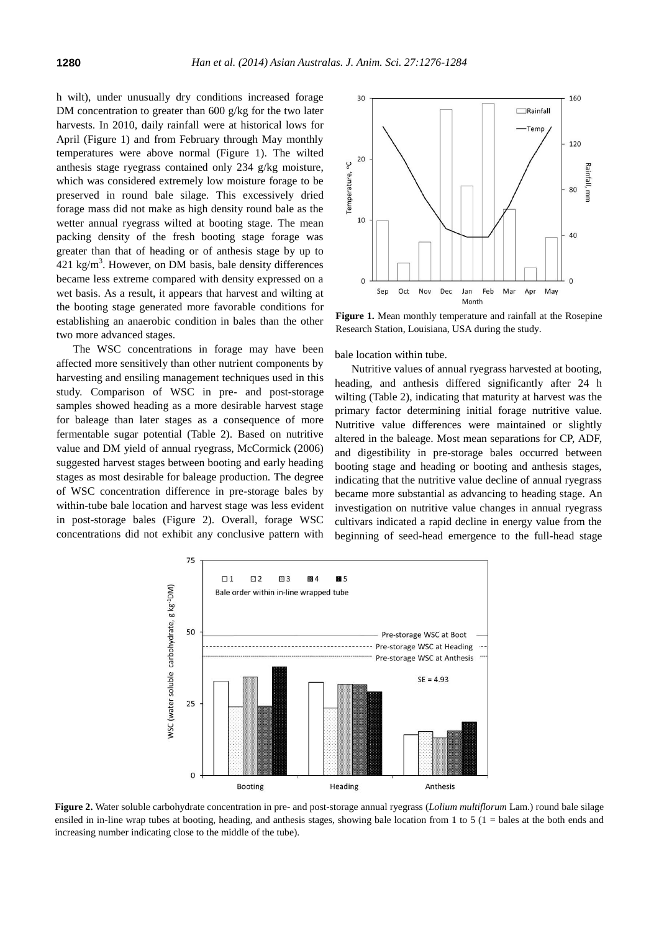h wilt), under unusually dry conditions increased forage DM concentration to greater than 600 g/kg for the two later harvests. In 2010, daily rainfall were at historical lows for April (Figure 1) and from February through May monthly temperatures were above normal (Figure 1). The wilted anthesis stage ryegrass contained only 234 g/kg moisture, which was considered extremely low moisture forage to be preserved in round bale silage. This excessively dried forage mass did not make as high density round bale as the wetter annual ryegrass wilted at booting stage. The mean packing density of the fresh booting stage forage was greater than that of heading or of anthesis stage by up to  $421 \text{ kg/m}^3$ . However, on DM basis, bale density differences became less extreme compared with density expressed on a wet basis. As a result, it appears that harvest and wilting at the booting stage generated more favorable conditions for establishing an anaerobic condition in bales than the other two more advanced stages.

The WSC concentrations in forage may have been affected more sensitively than other nutrient components by harvesting and ensiling management techniques used in this study. Comparison of WSC in pre- and post-storage samples showed heading as a more desirable harvest stage for baleage than later stages as a consequence of more fermentable sugar potential (Table 2). Based on nutritive value and DM yield of annual ryegrass, McCormick (2006) suggested harvest stages between booting and early heading stages as most desirable for baleage production. The degree of WSC concentration difference in pre-storage bales by within-tube bale location and harvest stage was less evident in post-storage bales (Figure 2). Overall, forage WSC concentrations did not exhibit any conclusive pattern with



**Figure 1.** Mean monthly temperature and rainfall at the Rosepine Research Station, Louisiana, USA during the study.

bale location within tube.

Nutritive values of annual ryegrass harvested at booting, heading, and anthesis differed significantly after 24 h wilting (Table 2), indicating that maturity at harvest was the primary factor determining initial forage nutritive value. Nutritive value differences were maintained or slightly altered in the baleage. Most mean separations for CP, ADF, and digestibility in pre-storage bales occurred between booting stage and heading or booting and anthesis stages, indicating that the nutritive value decline of annual ryegrass became more substantial as advancing to heading stage. An investigation on nutritive value changes in annual ryegrass cultivars indicated a rapid decline in energy value from the beginning of seed-head emergence to the full-head stage



**Figure 2.** Water soluble carbohydrate concentration in pre- and post-storage annual ryegrass (*Lolium multiflorum* Lam.) round bale silage ensiled in in-line wrap tubes at booting, heading, and anthesis stages, showing bale location from 1 to 5 ( $1 =$  bales at the both ends and increasing number indicating close to the middle of the tube).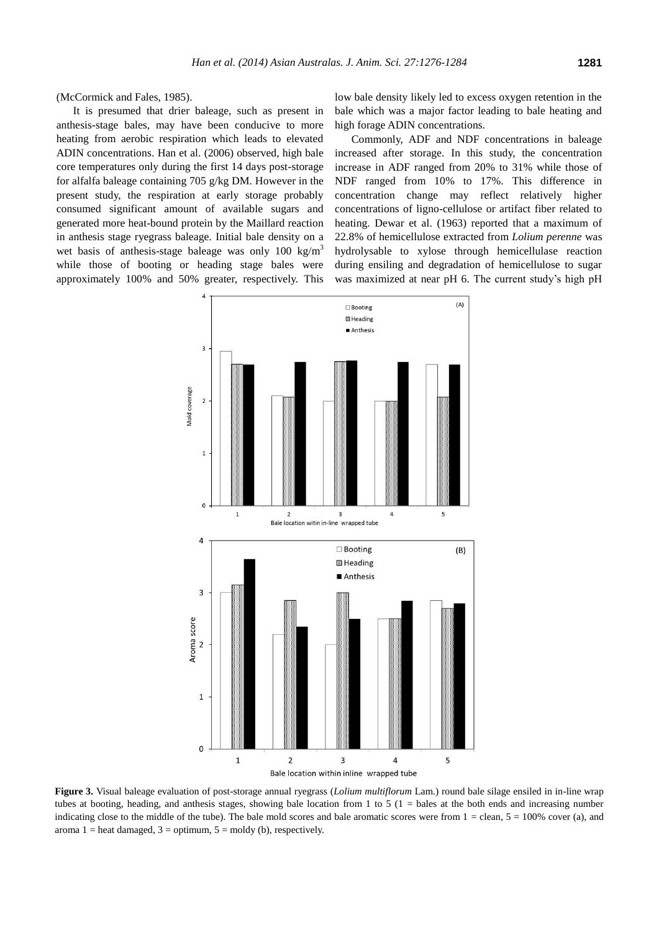(McCormick and Fales, 1985).

It is presumed that drier baleage, such as present in anthesis-stage bales, may have been conducive to more heating from aerobic respiration which leads to elevated ADIN concentrations. Han et al. (2006) observed, high bale core temperatures only during the first 14 days post-storage for alfalfa baleage containing 705 g/kg DM. However in the present study, the respiration at early storage probably consumed significant amount of available sugars and generated more heat-bound protein by the Maillard reaction in anthesis stage ryegrass baleage. Initial bale density on a wet basis of anthesis-stage baleage was only  $100 \text{ kg/m}^3$ while those of booting or heading stage bales were approximately 100% and 50% greater, respectively. This

low bale density likely led to excess oxygen retention in the bale which was a major factor leading to bale heating and high forage ADIN concentrations.

Commonly, ADF and NDF concentrations in baleage increased after storage. In this study, the concentration increase in ADF ranged from 20% to 31% while those of NDF ranged from 10% to 17%. This difference in concentration change may reflect relatively higher concentrations of ligno-cellulose or artifact fiber related to heating. Dewar et al. (1963) reported that a maximum of 22.8% of hemicellulose extracted from *Lolium perenne* was hydrolysable to xylose through hemicellulase reaction during ensiling and degradation of hemicellulose to sugar was maximized at near pH 6. The current study's high pH



**Figure 3.** Visual baleage evaluation of post-storage annual ryegrass (*Lolium multiflorum* Lam.) round bale silage ensiled in in-line wrap tubes at booting, heading, and anthesis stages, showing bale location from 1 to 5 ( $1 =$  bales at the both ends and increasing number indicating close to the middle of the tube). The bale mold scores and bale aromatic scores were from  $1 =$  clean,  $5 = 100\%$  cover (a), and aroma  $1 =$  heat damaged,  $3 =$  optimum,  $5 =$  moldy (b), respectively.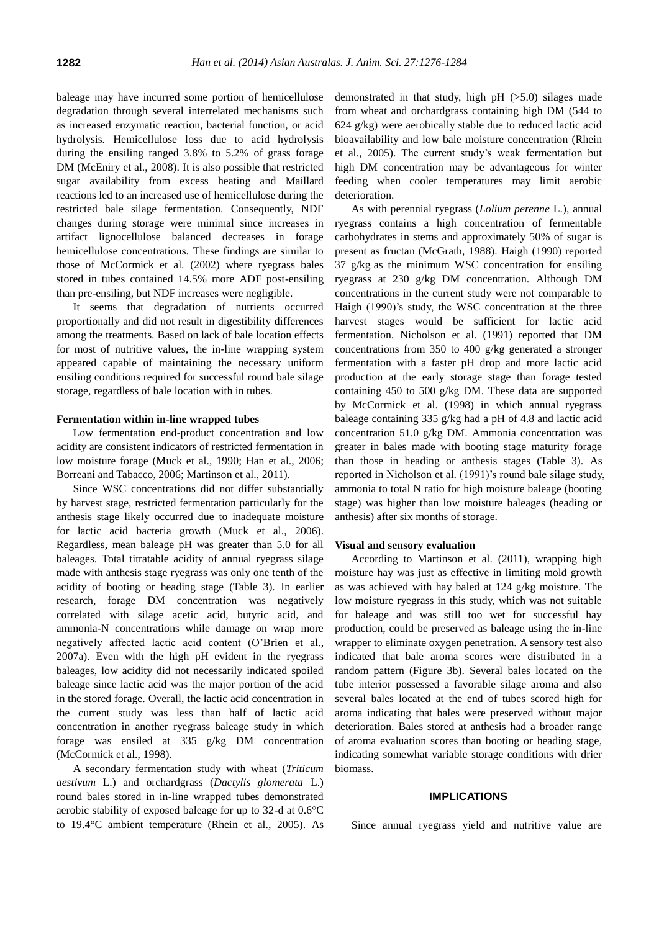baleage may have incurred some portion of hemicellulose degradation through several interrelated mechanisms such as increased enzymatic reaction, bacterial function, or acid hydrolysis. Hemicellulose loss due to acid hydrolysis during the ensiling ranged 3.8% to 5.2% of grass forage DM (McEniry et al., 2008). It is also possible that restricted sugar availability from excess heating and Maillard reactions led to an increased use of hemicellulose during the restricted bale silage fermentation. Consequently, NDF changes during storage were minimal since increases in artifact lignocellulose balanced decreases in forage hemicellulose concentrations. These findings are similar to those of McCormick et al. (2002) where ryegrass bales stored in tubes contained 14.5% more ADF post-ensiling than pre-ensiling, but NDF increases were negligible.

It seems that degradation of nutrients occurred proportionally and did not result in digestibility differences among the treatments. Based on lack of bale location effects for most of nutritive values, the in-line wrapping system appeared capable of maintaining the necessary uniform ensiling conditions required for successful round bale silage storage, regardless of bale location with in tubes.

# **Fermentation within in-line wrapped tubes**

Low fermentation end-product concentration and low acidity are consistent indicators of restricted fermentation in low moisture forage (Muck et al., 1990; Han et al., 2006; Borreani and Tabacco, 2006; Martinson et al., 2011).

Since WSC concentrations did not differ substantially by harvest stage, restricted fermentation particularly for the anthesis stage likely occurred due to inadequate moisture for lactic acid bacteria growth (Muck et al., 2006). Regardless, mean baleage pH was greater than 5.0 for all baleages. Total titratable acidity of annual ryegrass silage made with anthesis stage ryegrass was only one tenth of the acidity of booting or heading stage (Table 3). In earlier research, forage DM concentration was negatively correlated with silage acetic acid, butyric acid, and ammonia-N concentrations while damage on wrap more negatively affected lactic acid content (O'Brien et al., 2007a). Even with the high pH evident in the ryegrass baleages, low acidity did not necessarily indicated spoiled baleage since lactic acid was the major portion of the acid in the stored forage. Overall, the lactic acid concentration in the current study was less than half of lactic acid concentration in another ryegrass baleage study in which forage was ensiled at 335 g/kg DM concentration (McCormick et al., 1998).

A secondary fermentation study with wheat (*Triticum aestivum* L.) and orchardgrass (*Dactylis glomerata* L.) round bales stored in in-line wrapped tubes demonstrated aerobic stability of exposed baleage for up to 32-d at 0.6°C to 19.4°C ambient temperature (Rhein et al., 2005). As demonstrated in that study, high pH (>5.0) silages made from wheat and orchardgrass containing high DM (544 to 624 g/kg) were aerobically stable due to reduced lactic acid bioavailability and low bale moisture concentration (Rhein et al., 2005). The current study's weak fermentation but high DM concentration may be advantageous for winter feeding when cooler temperatures may limit aerobic deterioration.

As with perennial ryegrass (*Lolium perenne* L.), annual ryegrass contains a high concentration of fermentable carbohydrates in stems and approximately 50% of sugar is present as fructan (McGrath, 1988). Haigh (1990) reported 37 g/kg as the minimum WSC concentration for ensiling ryegrass at 230 g/kg DM concentration. Although DM concentrations in the current study were not comparable to Haigh (1990)'s study, the WSC concentration at the three harvest stages would be sufficient for lactic acid fermentation. Nicholson et al. (1991) reported that DM concentrations from 350 to 400 g/kg generated a stronger fermentation with a faster pH drop and more lactic acid production at the early storage stage than forage tested containing 450 to 500 g/kg DM. These data are supported by McCormick et al. (1998) in which annual ryegrass baleage containing 335 g/kg had a pH of 4.8 and lactic acid concentration 51.0 g/kg DM. Ammonia concentration was greater in bales made with booting stage maturity forage than those in heading or anthesis stages (Table 3). As reported in Nicholson et al. (1991)'s round bale silage study, ammonia to total N ratio for high moisture baleage (booting stage) was higher than low moisture baleages (heading or anthesis) after six months of storage.

#### **Visual and sensory evaluation**

According to Martinson et al. (2011), wrapping high moisture hay was just as effective in limiting mold growth as was achieved with hay baled at 124 g/kg moisture. The low moisture ryegrass in this study, which was not suitable for baleage and was still too wet for successful hay production, could be preserved as baleage using the in-line wrapper to eliminate oxygen penetration. A sensory test also indicated that bale aroma scores were distributed in a random pattern (Figure 3b). Several bales located on the tube interior possessed a favorable silage aroma and also several bales located at the end of tubes scored high for aroma indicating that bales were preserved without major deterioration. Bales stored at anthesis had a broader range of aroma evaluation scores than booting or heading stage, indicating somewhat variable storage conditions with drier biomass.

#### **IMPLICATIONS**

Since annual ryegrass yield and nutritive value are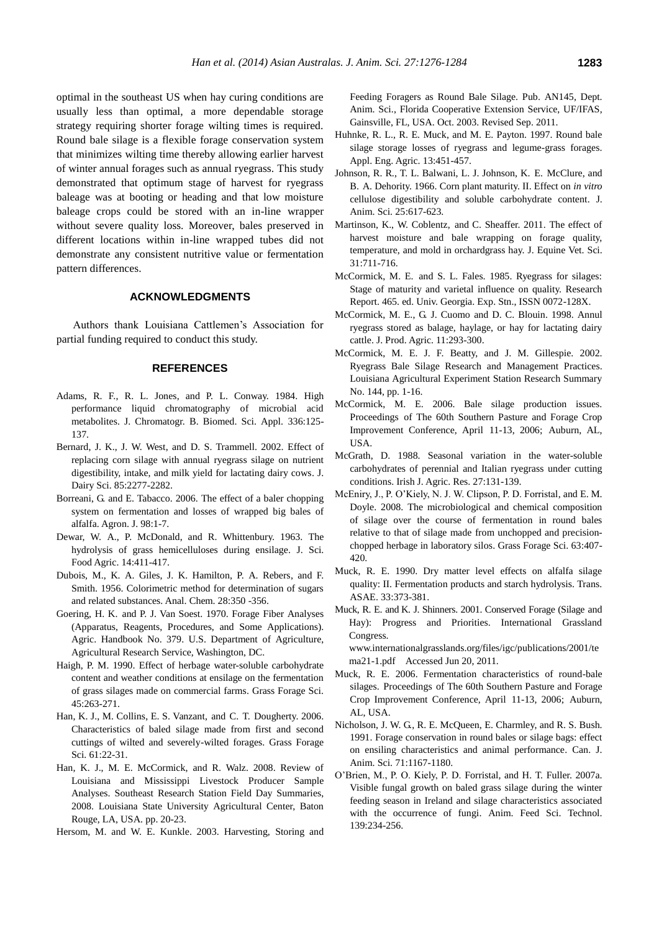optimal in the southeast US when hay curing conditions are usually less than optimal, a more dependable storage strategy requiring shorter forage wilting times is required. Round bale silage is a flexible forage conservation system that minimizes wilting time thereby allowing earlier harvest of winter annual forages such as annual ryegrass. This study demonstrated that optimum stage of harvest for ryegrass baleage was at booting or heading and that low moisture baleage crops could be stored with an in-line wrapper without severe quality loss. Moreover, bales preserved in different locations within in-line wrapped tubes did not demonstrate any consistent nutritive value or fermentation pattern differences.

# **ACKNOWLEDGMENTS**

Authors thank Louisiana Cattlemen's Association for partial funding required to conduct this study.

# **REFERENCES**

- Adams, R. F., R. L. Jones, and P. L. Conway. 1984. [High](http://www.sciencedirect.com/science/article/pii/S0378434700851361)  [performance liquid chromatography of microbial acid](http://www.sciencedirect.com/science/article/pii/S0378434700851361)  [metabolites.](http://www.sciencedirect.com/science/article/pii/S0378434700851361) J. Chromatogr. B. Biomed. Sci. Appl. 336:125- 137.
- Bernard, J. K., J. W. West, and D. S. Trammell. 2002. [Effect of](http://www.sciencedirect.com/science/article/pii/S0022030202743075)  [replacing corn silage with annual ryegrass silage on nutrient](http://www.sciencedirect.com/science/article/pii/S0022030202743075)  [digestibility, intake, and milk yield for lactating dairy cows.](http://www.sciencedirect.com/science/article/pii/S0022030202743075) J. Dairy Sci. 85:2277-2282.
- Borreani, G. and E. Tabacco. 2006. [The effect of a baler chopping](https://dl.sciencesocieties.org/publications/aj/abstracts/98/1/1)  [system on fermentation and losses of wrapped big bales of](https://dl.sciencesocieties.org/publications/aj/abstracts/98/1/1)  [alfalfa.](https://dl.sciencesocieties.org/publications/aj/abstracts/98/1/1) Agron. J. 98:1-7.
- Dewar, W. A., P. McDonald, and R. Whittenbury. 1963. [The](http://onlinelibrary.wiley.com/doi/10.1002/jsfa.2740140610/abstract)  [hydrolysis of grass hemicelluloses during ensilage.](http://onlinelibrary.wiley.com/doi/10.1002/jsfa.2740140610/abstract) J. Sci. Food Agric. 14:411-417.
- Dubois, M., K. A. Giles, J. K. Hamilton, P. A. Rebers, and F. Smith. 1956. [Colorimetric method for determination of sugars](http://pubs.acs.org/doi/abs/10.1021/ac60111a017)  [and related substances.](http://pubs.acs.org/doi/abs/10.1021/ac60111a017) Anal. Chem. 28:350 -356.
- Goering, H. K. and P. J. Van Soest. 1970. Forage Fiber Analyses (Apparatus, Reagents, Procedures, and Some Applications). Agric. Handbook No. 379. U.S. Department of Agriculture, Agricultural Research Service, Washington, DC.
- Haigh, P. M. 1990. [Effect of herbage water-soluble carbohydrate](http://onlinelibrary.wiley.com/doi/10.1111/j.1365-2494.1990.tb01949.x/abstract?deniedAccessCustomisedMessage=&userIsAuthenticated=false)  [content and weather conditions at ensilage on the fermentation](http://onlinelibrary.wiley.com/doi/10.1111/j.1365-2494.1990.tb01949.x/abstract?deniedAccessCustomisedMessage=&userIsAuthenticated=false)  [of grass silages made on commercial farms.](http://onlinelibrary.wiley.com/doi/10.1111/j.1365-2494.1990.tb01949.x/abstract?deniedAccessCustomisedMessage=&userIsAuthenticated=false) Grass Forage Sci. 45:263-271.
- Han, K. J., M. Collins, E. S. Vanzant, and C. T. Dougherty. 2006. Characteristics of baled silage made from first and second cuttings of wilted and severely-wilted forages. Grass Forage Sci. 61:22-31.
- Han, K. J., M. E. McCormick, and R. Walz. 2008. Review of Louisiana and Mississippi Livestock Producer Sample Analyses. Southeast Research Station Field Day Summaries, 2008. Louisiana State University Agricultural Center, Baton Rouge, LA, USA. pp. 20-23.

Hersom, M. and W. E. Kunkle. 2003. Harvesting, Storing and

Feeding Foragers as Round Bale Silage. Pub. AN145, Dept. Anim. Sci., Florida Cooperative Extension Service, UF/IFAS, Gainsville, FL, USA. Oct. 2003. Revised Sep. 2011.

- Huhnke, R. L., R. E. Muck, and M. E. Payton. 1997. Round bale silage storage losses of ryegrass and legume-grass forages. Appl. Eng. Agric. 13:451-457.
- Johnson, R. R., T. L. Balwani, L. J. Johnson, K. E. McClure, and B. A. Dehority. 1966. [Corn plant maturity. II. Effect on](http://www.journalofanimalscience.org/content/25/3/617.short) *in vitro*  [cellulose digestibility and soluble carbohydrate content.](http://www.journalofanimalscience.org/content/25/3/617.short) J. Anim. Sci. 25:617-623.
- Martinson, K., W. Coblentz, and C. Sheaffer. 2011. [The effect of](http://www.sciencedirect.com/science/article/pii/S0737080611003534)  [harvest moisture and bale wrapping on forage quality,](http://www.sciencedirect.com/science/article/pii/S0737080611003534)  [temperature, and mold in orchardgrass hay.](http://www.sciencedirect.com/science/article/pii/S0737080611003534) J. Equine Vet. Sci. 31:711-716.
- McCormick, M. E. and S. L. Fales. 1985. Ryegrass for silages: Stage of maturity and varietal influence on quality. Research Report. 465. ed. Univ. Georgia. Exp. Stn., ISSN 0072-128X.
- McCormick, M. E., G. J. Cuomo and D. C. Blouin. 1998. [Annul](https://dl.sciencesocieties.org/publications/jpa/abstracts/11/3/293)  [ryegrass stored as balage, haylage, or hay for lactating dairy](https://dl.sciencesocieties.org/publications/jpa/abstracts/11/3/293)  [cattle.](https://dl.sciencesocieties.org/publications/jpa/abstracts/11/3/293) J. Prod. Agric. 11:293-300.
- McCormick, M. E. J. F. Beatty, and J. M. Gillespie. 2002. Ryegrass Bale Silage Research and Management Practices. Louisiana Agricultural Experiment Station Research Summary No. 144, pp. 1-16.
- McCormick, M. E. 2006. Bale silage production issues. Proceedings of The 60th Southern Pasture and Forage Crop Improvement Conference, April 11-13, 2006; Auburn, AL, USA.
- McGrath, D. 1988. [Seasonal variation in the water-soluble](http://www.jstor.org/discover/10.2307/25556216?uid=3738392&uid=2&uid=4&sid=21103943645837)  [carbohydrates of perennial and Italian ryegrass under cutting](http://www.jstor.org/discover/10.2307/25556216?uid=3738392&uid=2&uid=4&sid=21103943645837)  [conditions.](http://www.jstor.org/discover/10.2307/25556216?uid=3738392&uid=2&uid=4&sid=21103943645837) Irish J. Agric. Res. 27:131-139.
- McEniry, J., P. O'Kiely, N. J. W. Clipson, P. D. Forristal, and E. M. Doyle. 2008. [The microbiological and chemical composition](http://onlinelibrary.wiley.com/doi/10.1111/j.1365-2494.2008.00645.x/abstract;jsessionid=90CDF31A38752F3CAA9FF5BF32AF3293.f04t02?deniedAccessCustomisedMessage=&userIsAuthenticated=false)  [of silage over the course of fermentation in round bales](http://onlinelibrary.wiley.com/doi/10.1111/j.1365-2494.2008.00645.x/abstract;jsessionid=90CDF31A38752F3CAA9FF5BF32AF3293.f04t02?deniedAccessCustomisedMessage=&userIsAuthenticated=false)  [relative to that of silage made from unchopped and precision](http://onlinelibrary.wiley.com/doi/10.1111/j.1365-2494.2008.00645.x/abstract;jsessionid=90CDF31A38752F3CAA9FF5BF32AF3293.f04t02?deniedAccessCustomisedMessage=&userIsAuthenticated=false)[chopped herbage in laboratory silos.](http://onlinelibrary.wiley.com/doi/10.1111/j.1365-2494.2008.00645.x/abstract;jsessionid=90CDF31A38752F3CAA9FF5BF32AF3293.f04t02?deniedAccessCustomisedMessage=&userIsAuthenticated=false) Grass Forage Sci. 63:407- 420.
- Muck, R. E. 1990. Dry matter level effects on alfalfa silage quality: II. Fermentation products and starch hydrolysis. Trans. ASAE. 33:373-381.
- Muck, R. E. and K. J. Shinners. 2001. Conserved Forage (Silage and Hay): Progress and Priorities. International Grassland Congress.

www.internationalgrasslands.org/files/igc/publications/2001/te ma21-1.pdf Accessed Jun 20, 2011.

- Muck, R. E. 2006. Fermentation characteristics of round-bale silages. Proceedings of The 60th Southern Pasture and Forage Crop Improvement Conference, April 11-13, 2006; Auburn, AL, USA.
- Nicholson, J. W. G., R. E. McQueen, E. Charmley, and R. S. Bush. 1991. [Forage conservation in round bales or silage bags: effect](http://pubs.aic.ca/doi/abs/10.4141/cjas91-138)  [on ensiling characteristics and animal performance.](http://pubs.aic.ca/doi/abs/10.4141/cjas91-138) Can. J. Anim. Sci. 71:1167-1180.
- O'Brien, M., P. O. Kiely, P. D. Forristal, and H. T. Fuller. 2007a. [Visible fungal growth on baled grass silage during the winter](http://www.animalfeedscience.com/article/S0377-8401(07)00034-X/abstract)  [feeding season in Ireland and silage characteristics associated](http://www.animalfeedscience.com/article/S0377-8401(07)00034-X/abstract)  [with the occurrence of fungi.](http://www.animalfeedscience.com/article/S0377-8401(07)00034-X/abstract) Anim. Feed Sci. Technol. 139:234-256.